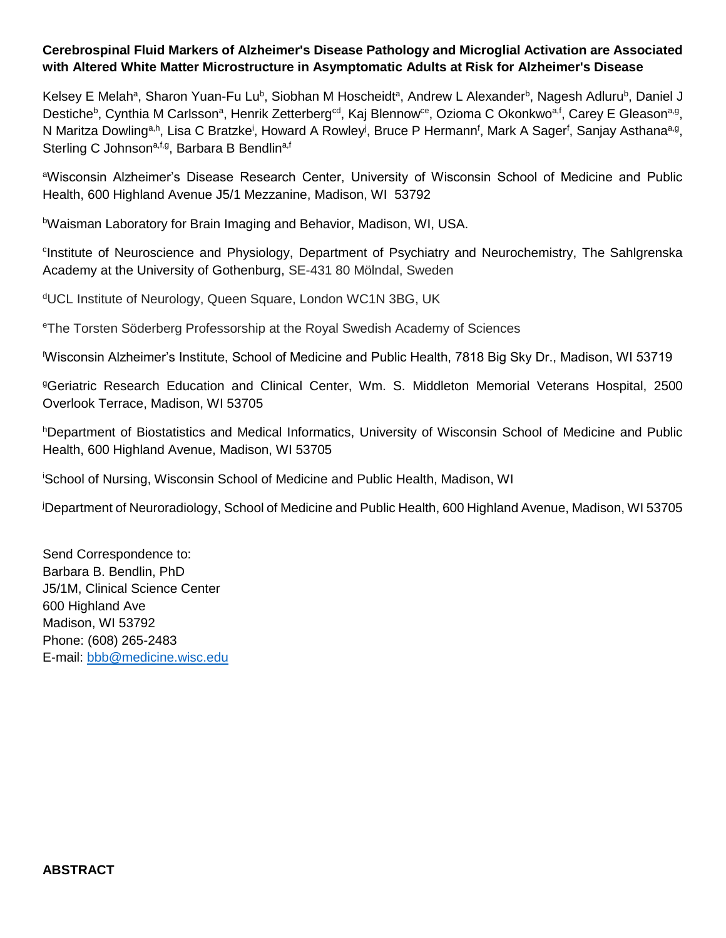# **Cerebrospinal Fluid Markers of Alzheimer's Disease Pathology and Microglial Activation are Associated with Altered White Matter Microstructure in Asymptomatic Adults at Risk for Alzheimer's Disease**

Kelsey E Melah<sup>a</sup>, Sharon Yuan-Fu Lu<sup>b</sup>, Siobhan M Hoscheidt<sup>a</sup>, Andrew L Alexander<sup>b</sup>, Nagesh Adluru<sup>b</sup>, Daniel J Destiche<sup>b</sup>, Cynthia M Carlsson<sup>a</sup>, Henrik Zetterberg<sup>ed</sup>, Kaj Blennow<sup>ce</sup>, Ozioma C Okonkwo<sup>a,f</sup>, Carey E Gleason<sup>a,g</sup>, N Maritza Dowling<sup>a,h</sup>, Lisa C Bratzke<sup>i</sup>, Howard A Rowley<sup>j</sup>, Bruce P Hermann<sup>f</sup>, Mark A Sager<sup>f</sup>, Sanjay Asthana<sup>a,g</sup>, Sterling C Johnson<sup>a, f, g</sup>, Barbara B Bendlin<sup>a, f</sup>

<sup>a</sup>Wisconsin Alzheimer's Disease Research Center, University of Wisconsin School of Medicine and Public Health, 600 Highland Avenue J5/1 Mezzanine, Madison, WI 53792

bWaisman Laboratory for Brain Imaging and Behavior, Madison, WI, USA.

<sup>c</sup>Institute of Neuroscience and Physiology, Department of Psychiatry and Neurochemistry, The Sahlgrenska Academy at the University of Gothenburg, SE-431 80 Mölndal, Sweden

<sup>d</sup>UCL Institute of Neurology, Queen Square, London WC1N 3BG, UK

<sup>e</sup>The Torsten Söderberg Professorship at the Royal Swedish Academy of Sciences

<sup>f</sup>Wisconsin Alzheimer's Institute, School of Medicine and Public Health, 7818 Big Sky Dr., Madison, WI 53719

<sup>g</sup>Geriatric Research Education and Clinical Center, Wm. S. Middleton Memorial Veterans Hospital, 2500 Overlook Terrace, Madison, WI 53705

hDepartment of Biostatistics and Medical Informatics, University of Wisconsin School of Medicine and Public Health, 600 Highland Avenue, Madison, WI 53705

<sup>i</sup>School of Nursing, Wisconsin School of Medicine and Public Health, Madison, WI

<sup>j</sup>Department of Neuroradiology, School of Medicine and Public Health, 600 Highland Avenue, Madison, WI 53705

Send Correspondence to: Barbara B. Bendlin, PhD J5/1M, Clinical Science Center 600 Highland Ave Madison, WI 53792 Phone: (608) 265-2483 E-mail: [bbb@medicine.wisc.edu](mailto:bbb@medicine.wisc.edu)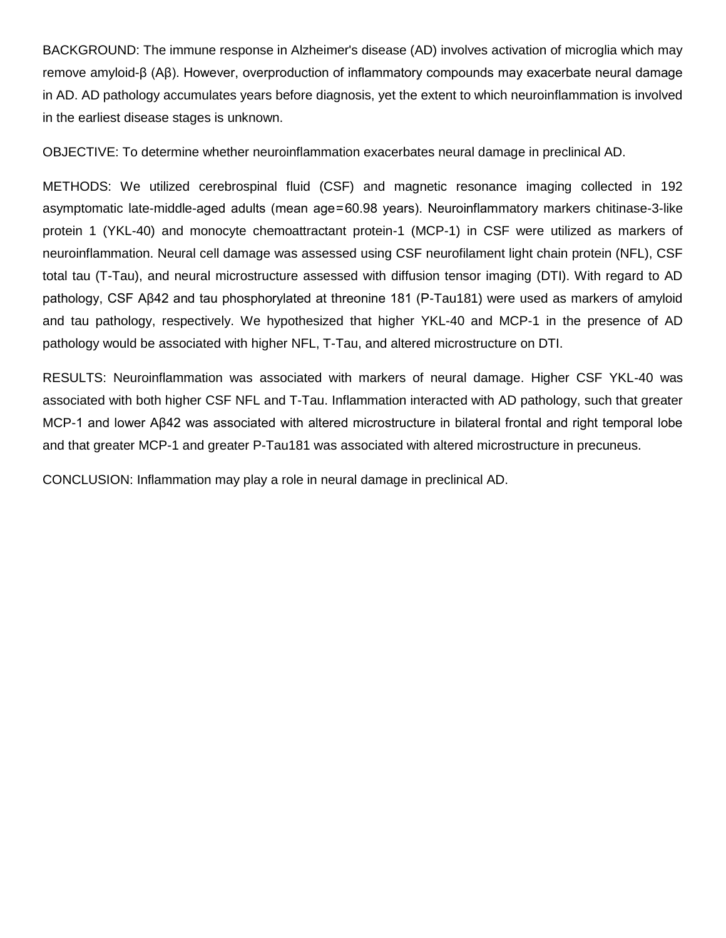BACKGROUND: The immune response in Alzheimer's disease (AD) involves activation of microglia which may remove amyloid-β (Aβ). However, overproduction of inflammatory compounds may exacerbate neural damage in AD. AD pathology accumulates years before diagnosis, yet the extent to which neuroinflammation is involved in the earliest disease stages is unknown.

OBJECTIVE: To determine whether neuroinflammation exacerbates neural damage in preclinical AD.

METHODS: We utilized cerebrospinal fluid (CSF) and magnetic resonance imaging collected in 192 asymptomatic late-middle-aged adults (mean age = 60.98 years). Neuroinflammatory markers chitinase-3-like protein 1 (YKL-40) and monocyte chemoattractant protein-1 (MCP-1) in CSF were utilized as markers of neuroinflammation. Neural cell damage was assessed using CSF neurofilament light chain protein (NFL), CSF total tau (T-Tau), and neural microstructure assessed with diffusion tensor imaging (DTI). With regard to AD pathology, CSF Aβ42 and tau phosphorylated at threonine 181 (P-Tau181) were used as markers of amyloid and tau pathology, respectively. We hypothesized that higher YKL-40 and MCP-1 in the presence of AD pathology would be associated with higher NFL, T-Tau, and altered microstructure on DTI.

RESULTS: Neuroinflammation was associated with markers of neural damage. Higher CSF YKL-40 was associated with both higher CSF NFL and T-Tau. Inflammation interacted with AD pathology, such that greater MCP-1 and lower Aβ42 was associated with altered microstructure in bilateral frontal and right temporal lobe and that greater MCP-1 and greater P-Tau181 was associated with altered microstructure in precuneus.

CONCLUSION: Inflammation may play a role in neural damage in preclinical AD.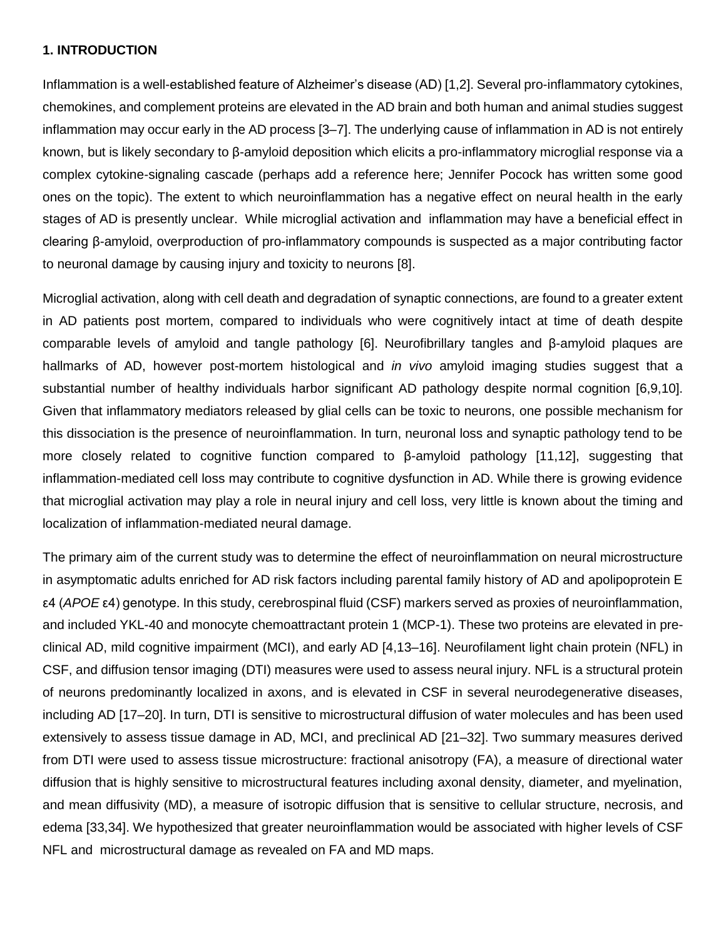### **1. INTRODUCTION**

Inflammation is a well-established feature of Alzheimer's disease (AD) [1,2]. Several pro-inflammatory cytokines, chemokines, and complement proteins are elevated in the AD brain and both human and animal studies suggest inflammation may occur early in the AD process [3–7]. The underlying cause of inflammation in AD is not entirely known, but is likely secondary to β-amyloid deposition which elicits a pro-inflammatory microglial response via a complex cytokine-signaling cascade (perhaps add a reference here; Jennifer Pocock has written some good ones on the topic). The extent to which neuroinflammation has a negative effect on neural health in the early stages of AD is presently unclear. While microglial activation and inflammation may have a beneficial effect in clearing β-amyloid, overproduction of pro-inflammatory compounds is suspected as a major contributing factor to neuronal damage by causing injury and toxicity to neurons [8].

Microglial activation, along with cell death and degradation of synaptic connections, are found to a greater extent in AD patients post mortem, compared to individuals who were cognitively intact at time of death despite comparable levels of amyloid and tangle pathology [6]. Neurofibrillary tangles and β-amyloid plaques are hallmarks of AD, however post-mortem histological and *in vivo* amyloid imaging studies suggest that a substantial number of healthy individuals harbor significant AD pathology despite normal cognition [6,9,10]. Given that inflammatory mediators released by glial cells can be toxic to neurons, one possible mechanism for this dissociation is the presence of neuroinflammation. In turn, neuronal loss and synaptic pathology tend to be more closely related to cognitive function compared to β-amyloid pathology [11,12], suggesting that inflammation-mediated cell loss may contribute to cognitive dysfunction in AD. While there is growing evidence that microglial activation may play a role in neural injury and cell loss, very little is known about the timing and localization of inflammation-mediated neural damage.

The primary aim of the current study was to determine the effect of neuroinflammation on neural microstructure in asymptomatic adults enriched for AD risk factors including parental family history of AD and apolipoprotein E ε4 (*APOE* ε4) genotype. In this study, cerebrospinal fluid (CSF) markers served as proxies of neuroinflammation, and included YKL-40 and monocyte chemoattractant protein 1 (MCP-1). These two proteins are elevated in preclinical AD, mild cognitive impairment (MCI), and early AD [4,13–16]. Neurofilament light chain protein (NFL) in CSF, and diffusion tensor imaging (DTI) measures were used to assess neural injury. NFL is a structural protein of neurons predominantly localized in axons, and is elevated in CSF in several neurodegenerative diseases, including AD [17–20]. In turn, DTI is sensitive to microstructural diffusion of water molecules and has been used extensively to assess tissue damage in AD, MCI, and preclinical AD [21–32]. Two summary measures derived from DTI were used to assess tissue microstructure: fractional anisotropy (FA), a measure of directional water diffusion that is highly sensitive to microstructural features including axonal density, diameter, and myelination, and mean diffusivity (MD), a measure of isotropic diffusion that is sensitive to cellular structure, necrosis, and edema [33,34]. We hypothesized that greater neuroinflammation would be associated with higher levels of CSF NFL and microstructural damage as revealed on FA and MD maps.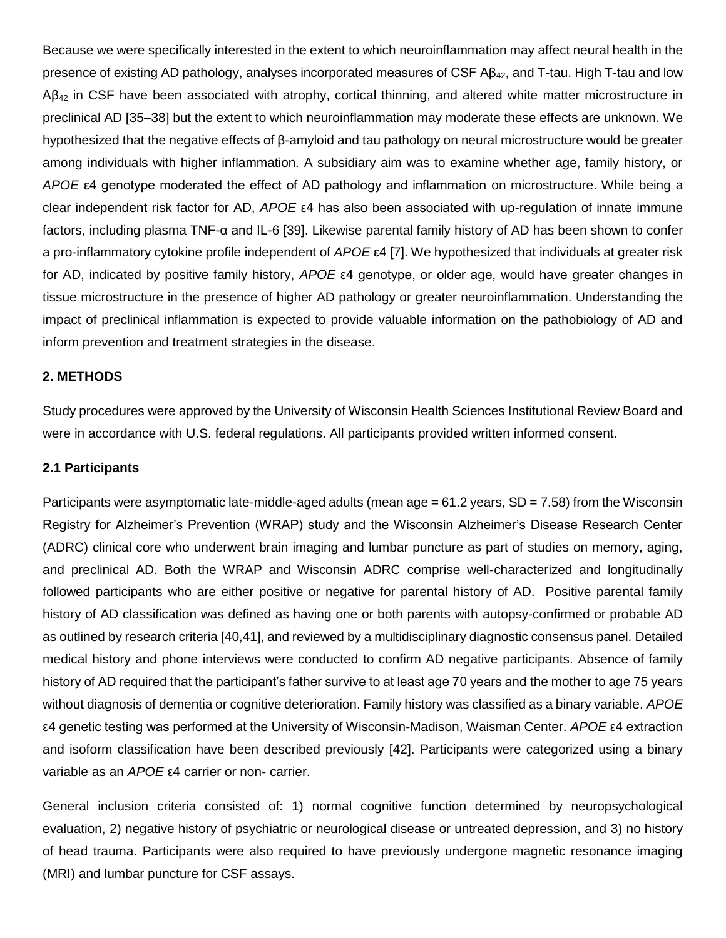Because we were specifically interested in the extent to which neuroinflammation may affect neural health in the presence of existing AD pathology, analyses incorporated measures of CSF Aβ42, and T-tau. High T-tau and low  $AB_{42}$  in CSF have been associated with atrophy, cortical thinning, and altered white matter microstructure in preclinical AD [35–38] but the extent to which neuroinflammation may moderate these effects are unknown. We hypothesized that the negative effects of β-amyloid and tau pathology on neural microstructure would be greater among individuals with higher inflammation. A subsidiary aim was to examine whether age, family history, or *APOE* ε4 genotype moderated the effect of AD pathology and inflammation on microstructure. While being a clear independent risk factor for AD, *APOE* ε4 has also been associated with up-regulation of innate immune factors, including plasma TNF-α and IL-6 [39]. Likewise parental family history of AD has been shown to confer a pro-inflammatory cytokine profile independent of *APOE* ε4 [7]. We hypothesized that individuals at greater risk for AD, indicated by positive family history, *APOE* ε4 genotype, or older age, would have greater changes in tissue microstructure in the presence of higher AD pathology or greater neuroinflammation. Understanding the impact of preclinical inflammation is expected to provide valuable information on the pathobiology of AD and inform prevention and treatment strategies in the disease.

#### **2. METHODS**

Study procedures were approved by the University of Wisconsin Health Sciences Institutional Review Board and were in accordance with U.S. federal regulations. All participants provided written informed consent.

#### **2.1 Participants**

Participants were asymptomatic late-middle-aged adults (mean age  $= 61.2$  years, SD  $= 7.58$ ) from the Wisconsin Registry for Alzheimer's Prevention (WRAP) study and the Wisconsin Alzheimer's Disease Research Center (ADRC) clinical core who underwent brain imaging and lumbar puncture as part of studies on memory, aging, and preclinical AD. Both the WRAP and Wisconsin ADRC comprise well-characterized and longitudinally followed participants who are either positive or negative for parental history of AD. Positive parental family history of AD classification was defined as having one or both parents with autopsy-confirmed or probable AD as outlined by research criteria [40,41], and reviewed by a multidisciplinary diagnostic consensus panel. Detailed medical history and phone interviews were conducted to confirm AD negative participants. Absence of family history of AD required that the participant's father survive to at least age 70 years and the mother to age 75 years without diagnosis of dementia or cognitive deterioration. Family history was classified as a binary variable. *APOE* ε4 genetic testing was performed at the University of Wisconsin-Madison, Waisman Center. *APOE* ε4 extraction and isoform classification have been described previously [42]. Participants were categorized using a binary variable as an *APOE* ε4 carrier or non- carrier.

General inclusion criteria consisted of: 1) normal cognitive function determined by neuropsychological evaluation, 2) negative history of psychiatric or neurological disease or untreated depression, and 3) no history of head trauma. Participants were also required to have previously undergone magnetic resonance imaging (MRI) and lumbar puncture for CSF assays.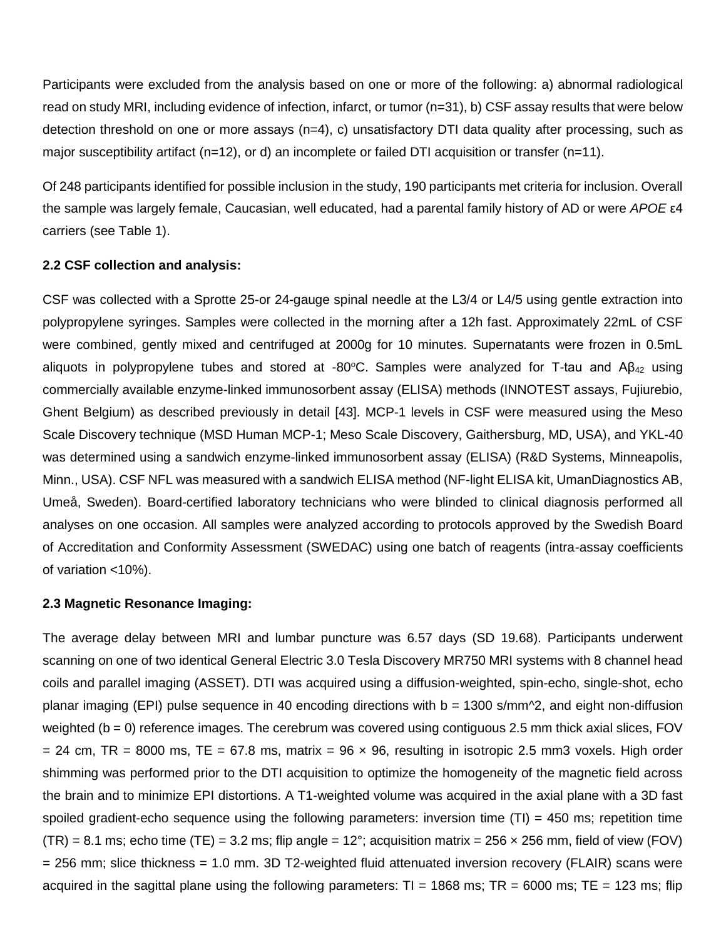Participants were excluded from the analysis based on one or more of the following: a) abnormal radiological read on study MRI, including evidence of infection, infarct, or tumor (n=31), b) CSF assay results that were below detection threshold on one or more assays (n=4), c) unsatisfactory DTI data quality after processing, such as major susceptibility artifact (n=12), or d) an incomplete or failed DTI acquisition or transfer (n=11).

Of 248 participants identified for possible inclusion in the study, 190 participants met criteria for inclusion. Overall the sample was largely female, Caucasian, well educated, had a parental family history of AD or were *APOE* ε4 carriers (see Table 1).

### **2.2 CSF collection and analysis:**

CSF was collected with a Sprotte 25-or 24-gauge spinal needle at the L3/4 or L4/5 using gentle extraction into polypropylene syringes. Samples were collected in the morning after a 12h fast. Approximately 22mL of CSF were combined, gently mixed and centrifuged at 2000g for 10 minutes. Supernatants were frozen in 0.5mL aliquots in polypropylene tubes and stored at -80°C. Samples were analyzed for T-tau and  $\mathsf{AB}_{42}$  using commercially available enzyme-linked immunosorbent assay (ELISA) methods (INNOTEST assays, Fujiurebio, Ghent Belgium) as described previously in detail [43]. MCP-1 levels in CSF were measured using the Meso Scale Discovery technique (MSD Human MCP-1; Meso Scale Discovery, Gaithersburg, MD, USA), and YKL-40 was determined using a sandwich enzyme-linked immunosorbent assay (ELISA) (R&D Systems, Minneapolis, Minn., USA). CSF NFL was measured with a sandwich ELISA method (NF-light ELISA kit, UmanDiagnostics AB, Umeå, Sweden). Board-certified laboratory technicians who were blinded to clinical diagnosis performed all analyses on one occasion. All samples were analyzed according to protocols approved by the Swedish Board of Accreditation and Conformity Assessment (SWEDAC) using one batch of reagents (intra-assay coefficients of variation <10%).

#### **2.3 Magnetic Resonance Imaging:**

The average delay between MRI and lumbar puncture was 6.57 days (SD 19.68). Participants underwent scanning on one of two identical General Electric 3.0 Tesla Discovery MR750 MRI systems with 8 channel head coils and parallel imaging (ASSET). DTI was acquired using a diffusion-weighted, spin-echo, single-shot, echo planar imaging (EPI) pulse sequence in 40 encoding directions with  $b = 1300$  s/mm $\textdegree$ 2, and eight non-diffusion weighted ( $b = 0$ ) reference images. The cerebrum was covered using contiguous 2.5 mm thick axial slices, FOV  $= 24$  cm, TR = 8000 ms, TE = 67.8 ms, matrix = 96  $\times$  96, resulting in isotropic 2.5 mm3 voxels. High order shimming was performed prior to the DTI acquisition to optimize the homogeneity of the magnetic field across the brain and to minimize EPI distortions. A T1-weighted volume was acquired in the axial plane with a 3D fast spoiled gradient-echo sequence using the following parameters: inversion time  $(TI) = 450$  ms; repetition time  $(TR) = 8.1$  ms; echo time (TE) = 3.2 ms; flip angle = 12°; acquisition matrix = 256  $\times$  256 mm, field of view (FOV) = 256 mm; slice thickness = 1.0 mm. 3D T2-weighted fluid attenuated inversion recovery (FLAIR) scans were acquired in the sagittal plane using the following parameters:  $TI = 1868$  ms;  $TR = 6000$  ms;  $TE = 123$  ms; flip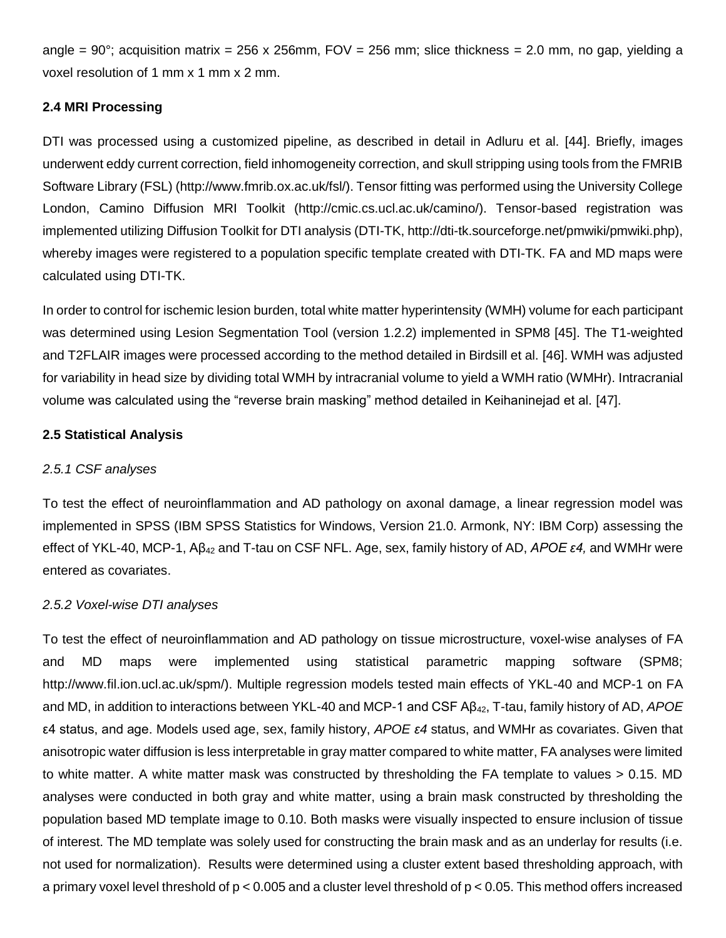angle =  $90^{\circ}$ ; acquisition matrix = 256 x 256mm, FOV = 256 mm; slice thickness = 2.0 mm, no gap, yielding a voxel resolution of 1 mm x 1 mm x 2 mm.

# **2.4 MRI Processing**

DTI was processed using a customized pipeline, as described in detail in Adluru et al. [44]. Briefly, images underwent eddy current correction, field inhomogeneity correction, and skull stripping using tools from the FMRIB Software Library (FSL) (http://www.fmrib.ox.ac.uk/fsl/). Tensor fitting was performed using the University College London, Camino Diffusion MRI Toolkit (http://cmic.cs.ucl.ac.uk/camino/). Tensor-based registration was implemented utilizing Diffusion Toolkit for DTI analysis (DTI-TK, http://dti-tk.sourceforge.net/pmwiki/pmwiki.php), whereby images were registered to a population specific template created with DTI-TK. FA and MD maps were calculated using DTI-TK.

In order to control for ischemic lesion burden, total white matter hyperintensity (WMH) volume for each participant was determined using Lesion Segmentation Tool (version 1.2.2) implemented in SPM8 [45]. The T1-weighted and T2FLAIR images were processed according to the method detailed in Birdsill et al. [46]. WMH was adjusted for variability in head size by dividing total WMH by intracranial volume to yield a WMH ratio (WMHr). Intracranial volume was calculated using the "reverse brain masking" method detailed in Keihaninejad et al. [47].

# **2.5 Statistical Analysis**

# *2.5.1 CSF analyses*

To test the effect of neuroinflammation and AD pathology on axonal damage, a linear regression model was implemented in SPSS (IBM SPSS Statistics for Windows, Version 21.0. Armonk, NY: IBM Corp) assessing the effect of YKL-40, MCP-1, Aβ<sup>42</sup> and T-tau on CSF NFL. Age, sex, family history of AD, *APOE ε4,* and WMHr were entered as covariates.

### *2.5.2 Voxel-wise DTI analyses*

To test the effect of neuroinflammation and AD pathology on tissue microstructure, voxel-wise analyses of FA and MD maps were implemented using statistical parametric mapping software (SPM8; http://www.fil.ion.ucl.ac.uk/spm/). Multiple regression models tested main effects of YKL-40 and MCP-1 on FA and MD, in addition to interactions between YKL-40 and MCP-1 and CSF Aβ42, T-tau, family history of AD, *APOE* ε4 status, and age. Models used age, sex, family history, *APOE ε4* status, and WMHr as covariates. Given that anisotropic water diffusion is less interpretable in gray matter compared to white matter, FA analyses were limited to white matter. A white matter mask was constructed by thresholding the FA template to values > 0.15. MD analyses were conducted in both gray and white matter, using a brain mask constructed by thresholding the population based MD template image to 0.10. Both masks were visually inspected to ensure inclusion of tissue of interest. The MD template was solely used for constructing the brain mask and as an underlay for results (i.e. not used for normalization). Results were determined using a cluster extent based thresholding approach, with a primary voxel level threshold of p < 0.005 and a cluster level threshold of p < 0.05. This method offers increased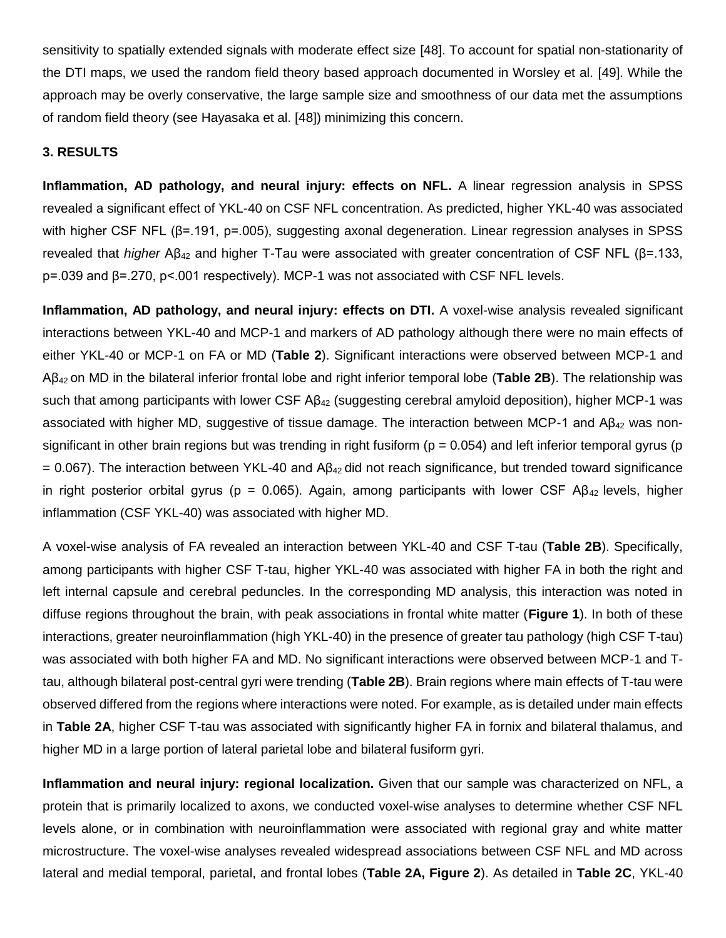sensitivity to spatially extended signals with moderate effect size [48]. To account for spatial non-stationarity of the DTI maps, we used the random field theory based approach documented in Worsley et al. [49]. While the approach may be overly conservative, the large sample size and smoothness of our data met the assumptions of random field theory (see Hayasaka et al. [48]) minimizing this concern.

### **3. RESULTS**

**Inflammation, AD pathology, and neural injury: effects on NFL.** A linear regression analysis in SPSS revealed a significant effect of YKL-40 on CSF NFL concentration. As predicted, higher YKL-40 was associated with higher CSF NFL (β=.191, p=.005), suggesting axonal degeneration. Linear regression analyses in SPSS revealed that *higher* Aβ<sup>42</sup> and higher T-Tau were associated with greater concentration of CSF NFL (β=.133, p=.039 and β=.270, p<.001 respectively). MCP-1 was not associated with CSF NFL levels.

**Inflammation, AD pathology, and neural injury: effects on DTI.** A voxel-wise analysis revealed significant interactions between YKL-40 and MCP-1 and markers of AD pathology although there were no main effects of either YKL-40 or MCP-1 on FA or MD (**Table 2**). Significant interactions were observed between MCP-1 and Aβ42 on MD in the bilateral inferior frontal lobe and right inferior temporal lobe (**Table 2B**). The relationship was such that among participants with lower CSF Aβ<sub>42</sub> (suggesting cerebral amyloid deposition), higher MCP-1 was associated with higher MD, suggestive of tissue damage. The interaction between MCP-1 and  $A\beta_{42}$  was nonsignificant in other brain regions but was trending in right fusiform ( $p = 0.054$ ) and left inferior temporal gyrus (p  $= 0.067$ ). The interaction between YKL-40 and A $\beta_{42}$  did not reach significance, but trended toward significance in right posterior orbital gyrus (p = 0.065). Again, among participants with lower CSF AB<sub>42</sub> levels, higher inflammation (CSF YKL-40) was associated with higher MD.

A voxel-wise analysis of FA revealed an interaction between YKL-40 and CSF T-tau (**Table 2B**). Specifically, among participants with higher CSF T-tau, higher YKL-40 was associated with higher FA in both the right and left internal capsule and cerebral peduncles. In the corresponding MD analysis, this interaction was noted in diffuse regions throughout the brain, with peak associations in frontal white matter (**Figure 1**). In both of these interactions, greater neuroinflammation (high YKL-40) in the presence of greater tau pathology (high CSF T-tau) was associated with both higher FA and MD. No significant interactions were observed between MCP-1 and Ttau, although bilateral post-central gyri were trending (**Table 2B**). Brain regions where main effects of T-tau were observed differed from the regions where interactions were noted. For example, as is detailed under main effects in **Table 2A**, higher CSF T-tau was associated with significantly higher FA in fornix and bilateral thalamus, and higher MD in a large portion of lateral parietal lobe and bilateral fusiform gyri.

**Inflammation and neural injury: regional localization.** Given that our sample was characterized on NFL, a protein that is primarily localized to axons, we conducted voxel-wise analyses to determine whether CSF NFL levels alone, or in combination with neuroinflammation were associated with regional gray and white matter microstructure. The voxel-wise analyses revealed widespread associations between CSF NFL and MD across lateral and medial temporal, parietal, and frontal lobes (**Table 2A, Figure 2**). As detailed in **Table 2C**, YKL-40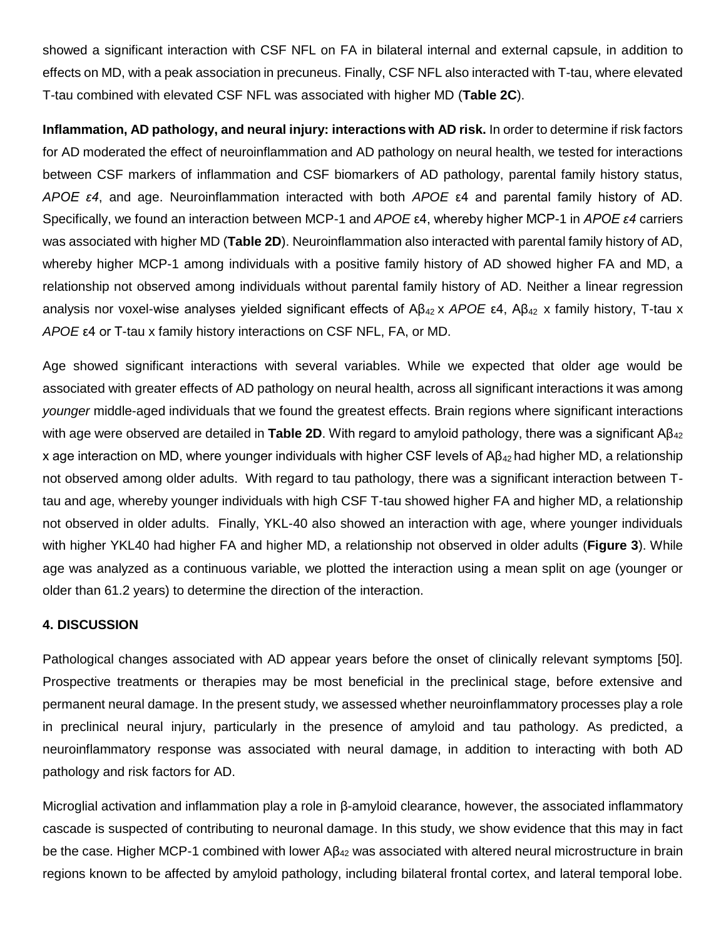showed a significant interaction with CSF NFL on FA in bilateral internal and external capsule, in addition to effects on MD, with a peak association in precuneus. Finally, CSF NFL also interacted with T-tau, where elevated T-tau combined with elevated CSF NFL was associated with higher MD (**Table 2C**).

**Inflammation, AD pathology, and neural injury: interactions with AD risk.** In order to determine if risk factors for AD moderated the effect of neuroinflammation and AD pathology on neural health, we tested for interactions between CSF markers of inflammation and CSF biomarkers of AD pathology, parental family history status, *APOE ε4*, and age. Neuroinflammation interacted with both *APOE* ε4 and parental family history of AD. Specifically, we found an interaction between MCP-1 and *APOE* ε4, whereby higher MCP-1 in *APOE ε4* carriers was associated with higher MD (**Table 2D**). Neuroinflammation also interacted with parental family history of AD, whereby higher MCP-1 among individuals with a positive family history of AD showed higher FA and MD, a relationship not observed among individuals without parental family history of AD. Neither a linear regression analysis nor voxel-wise analyses yielded significant effects of Aβ<sup>42</sup> x *APOE* ε4, Aβ42 x family history, T-tau x *APOE* ε4 or T-tau x family history interactions on CSF NFL, FA, or MD.

Age showed significant interactions with several variables. While we expected that older age would be associated with greater effects of AD pathology on neural health, across all significant interactions it was among *younger* middle-aged individuals that we found the greatest effects. Brain regions where significant interactions with age were observed are detailed in **Table 2D**. With regard to amyloid pathology, there was a significant Aβ<sub>42</sub> x age interaction on MD, where younger individuals with higher CSF levels of Aβ42 had higher MD, a relationship not observed among older adults. With regard to tau pathology, there was a significant interaction between Ttau and age, whereby younger individuals with high CSF T-tau showed higher FA and higher MD, a relationship not observed in older adults. Finally, YKL-40 also showed an interaction with age, where younger individuals with higher YKL40 had higher FA and higher MD, a relationship not observed in older adults (**Figure 3**). While age was analyzed as a continuous variable, we plotted the interaction using a mean split on age (younger or older than 61.2 years) to determine the direction of the interaction.

#### **4. DISCUSSION**

Pathological changes associated with AD appear years before the onset of clinically relevant symptoms [50]. Prospective treatments or therapies may be most beneficial in the preclinical stage, before extensive and permanent neural damage. In the present study, we assessed whether neuroinflammatory processes play a role in preclinical neural injury, particularly in the presence of amyloid and tau pathology. As predicted, a neuroinflammatory response was associated with neural damage, in addition to interacting with both AD pathology and risk factors for AD.

Microglial activation and inflammation play a role in β-amyloid clearance, however, the associated inflammatory cascade is suspected of contributing to neuronal damage. In this study, we show evidence that this may in fact be the case. Higher MCP-1 combined with lower Aβ<sub>42</sub> was associated with altered neural microstructure in brain regions known to be affected by amyloid pathology, including bilateral frontal cortex, and lateral temporal lobe.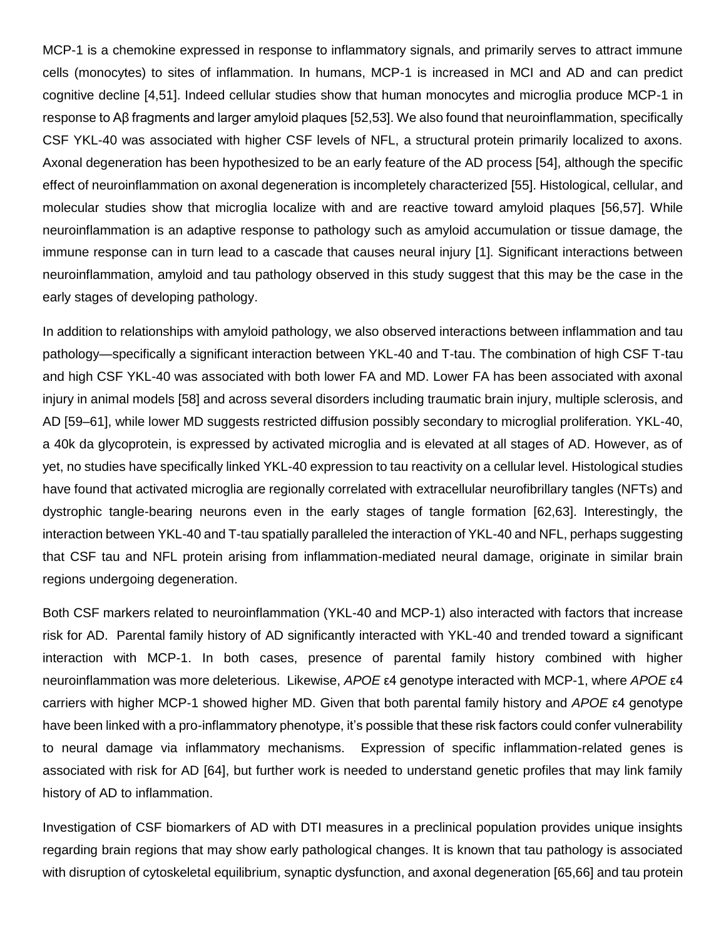MCP-1 is a chemokine expressed in response to inflammatory signals, and primarily serves to attract immune cells (monocytes) to sites of inflammation. In humans, MCP-1 is increased in MCI and AD and can predict cognitive decline [4,51]. Indeed cellular studies show that human monocytes and microglia produce MCP-1 in response to Aβ fragments and larger amyloid plaques [52,53]. We also found that neuroinflammation, specifically CSF YKL-40 was associated with higher CSF levels of NFL, a structural protein primarily localized to axons. Axonal degeneration has been hypothesized to be an early feature of the AD process [54], although the specific effect of neuroinflammation on axonal degeneration is incompletely characterized [55]. Histological, cellular, and molecular studies show that microglia localize with and are reactive toward amyloid plaques [56,57]. While neuroinflammation is an adaptive response to pathology such as amyloid accumulation or tissue damage, the immune response can in turn lead to a cascade that causes neural injury [1]. Significant interactions between neuroinflammation, amyloid and tau pathology observed in this study suggest that this may be the case in the early stages of developing pathology.

In addition to relationships with amyloid pathology, we also observed interactions between inflammation and tau pathology—specifically a significant interaction between YKL-40 and T-tau. The combination of high CSF T-tau and high CSF YKL-40 was associated with both lower FA and MD. Lower FA has been associated with axonal injury in animal models [58] and across several disorders including traumatic brain injury, multiple sclerosis, and AD [59–61], while lower MD suggests restricted diffusion possibly secondary to microglial proliferation. YKL-40, a 40k da glycoprotein, is expressed by activated microglia and is elevated at all stages of AD. However, as of yet, no studies have specifically linked YKL-40 expression to tau reactivity on a cellular level. Histological studies have found that activated microglia are regionally correlated with extracellular neurofibrillary tangles (NFTs) and dystrophic tangle-bearing neurons even in the early stages of tangle formation [62,63]. Interestingly, the interaction between YKL-40 and T-tau spatially paralleled the interaction of YKL-40 and NFL, perhaps suggesting that CSF tau and NFL protein arising from inflammation-mediated neural damage, originate in similar brain regions undergoing degeneration.

Both CSF markers related to neuroinflammation (YKL-40 and MCP-1) also interacted with factors that increase risk for AD. Parental family history of AD significantly interacted with YKL-40 and trended toward a significant interaction with MCP-1. In both cases, presence of parental family history combined with higher neuroinflammation was more deleterious. Likewise, *APOE* ε4 genotype interacted with MCP-1, where *APOE* ε4 carriers with higher MCP-1 showed higher MD. Given that both parental family history and *APOE* ε4 genotype have been linked with a pro-inflammatory phenotype, it's possible that these risk factors could confer vulnerability to neural damage via inflammatory mechanisms. Expression of specific inflammation-related genes is associated with risk for AD [64], but further work is needed to understand genetic profiles that may link family history of AD to inflammation.

Investigation of CSF biomarkers of AD with DTI measures in a preclinical population provides unique insights regarding brain regions that may show early pathological changes. It is known that tau pathology is associated with disruption of cytoskeletal equilibrium, synaptic dysfunction, and axonal degeneration [65,66] and tau protein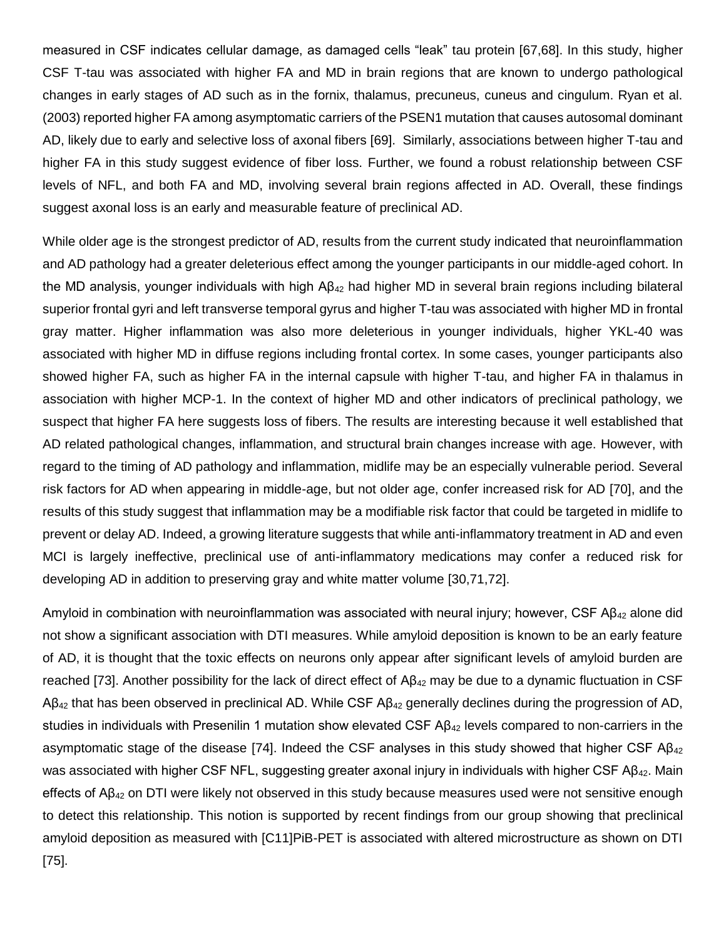measured in CSF indicates cellular damage, as damaged cells "leak" tau protein [67,68]. In this study, higher CSF T-tau was associated with higher FA and MD in brain regions that are known to undergo pathological changes in early stages of AD such as in the fornix, thalamus, precuneus, cuneus and cingulum. Ryan et al. (2003) reported higher FA among asymptomatic carriers of the PSEN1 mutation that causes autosomal dominant AD, likely due to early and selective loss of axonal fibers [69]. Similarly, associations between higher T-tau and higher FA in this study suggest evidence of fiber loss. Further, we found a robust relationship between CSF levels of NFL, and both FA and MD, involving several brain regions affected in AD. Overall, these findings suggest axonal loss is an early and measurable feature of preclinical AD.

While older age is the strongest predictor of AD, results from the current study indicated that neuroinflammation and AD pathology had a greater deleterious effect among the younger participants in our middle-aged cohort. In the MD analysis, younger individuals with high Aβ<sub>42</sub> had higher MD in several brain regions including bilateral superior frontal gyri and left transverse temporal gyrus and higher T-tau was associated with higher MD in frontal gray matter. Higher inflammation was also more deleterious in younger individuals, higher YKL-40 was associated with higher MD in diffuse regions including frontal cortex. In some cases, younger participants also showed higher FA, such as higher FA in the internal capsule with higher T-tau, and higher FA in thalamus in association with higher MCP-1. In the context of higher MD and other indicators of preclinical pathology, we suspect that higher FA here suggests loss of fibers. The results are interesting because it well established that AD related pathological changes, inflammation, and structural brain changes increase with age. However, with regard to the timing of AD pathology and inflammation, midlife may be an especially vulnerable period. Several risk factors for AD when appearing in middle-age, but not older age, confer increased risk for AD [70], and the results of this study suggest that inflammation may be a modifiable risk factor that could be targeted in midlife to prevent or delay AD. Indeed, a growing literature suggests that while anti-inflammatory treatment in AD and even MCI is largely ineffective, preclinical use of anti-inflammatory medications may confer a reduced risk for developing AD in addition to preserving gray and white matter volume [30,71,72].

Amyloid in combination with neuroinflammation was associated with neural injury; however, CSF Aβ<sup>42</sup> alone did not show a significant association with DTI measures. While amyloid deposition is known to be an early feature of AD, it is thought that the toxic effects on neurons only appear after significant levels of amyloid burden are reached [73]. Another possibility for the lack of direct effect of  $AB_{42}$  may be due to a dynamic fluctuation in CSF  $A\beta_{42}$  that has been observed in preclinical AD. While CSF  $A\beta_{42}$  generally declines during the progression of AD, studies in individuals with Presenilin 1 mutation show elevated CSF  $AB_{42}$  levels compared to non-carriers in the asymptomatic stage of the disease [74]. Indeed the CSF analyses in this study showed that higher CSF  $AB_{42}$ was associated with higher CSF NFL, suggesting greater axonal injury in individuals with higher CSF  $AB_{42}$ . Main effects of Aβ<sup>42</sup> on DTI were likely not observed in this study because measures used were not sensitive enough to detect this relationship. This notion is supported by recent findings from our group showing that preclinical amyloid deposition as measured with [C11]PiB-PET is associated with altered microstructure as shown on DTI [75].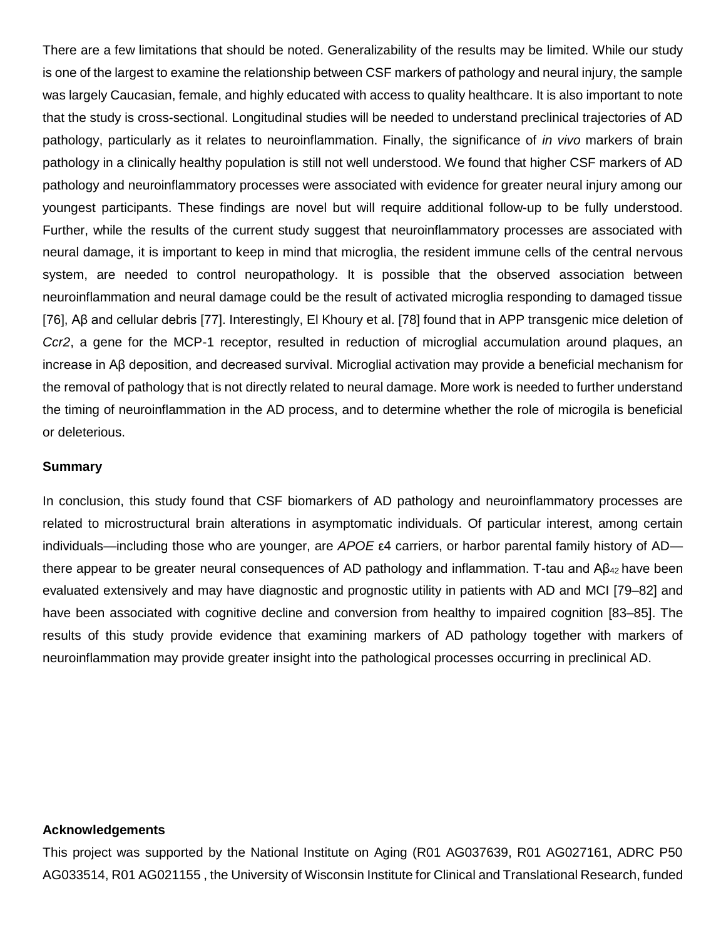There are a few limitations that should be noted. Generalizability of the results may be limited. While our study is one of the largest to examine the relationship between CSF markers of pathology and neural injury, the sample was largely Caucasian, female, and highly educated with access to quality healthcare. It is also important to note that the study is cross-sectional. Longitudinal studies will be needed to understand preclinical trajectories of AD pathology, particularly as it relates to neuroinflammation. Finally, the significance of *in vivo* markers of brain pathology in a clinically healthy population is still not well understood. We found that higher CSF markers of AD pathology and neuroinflammatory processes were associated with evidence for greater neural injury among our youngest participants. These findings are novel but will require additional follow-up to be fully understood. Further, while the results of the current study suggest that neuroinflammatory processes are associated with neural damage, it is important to keep in mind that microglia, the resident immune cells of the central nervous system, are needed to control neuropathology. It is possible that the observed association between neuroinflammation and neural damage could be the result of activated microglia responding to damaged tissue [76], Aβ and cellular debris [77]. Interestingly, El Khoury et al. [78] found that in APP transgenic mice deletion of *Ccr2*, a gene for the MCP-1 receptor, resulted in reduction of microglial accumulation around plaques, an increase in Aβ deposition, and decreased survival. Microglial activation may provide a beneficial mechanism for the removal of pathology that is not directly related to neural damage. More work is needed to further understand the timing of neuroinflammation in the AD process, and to determine whether the role of microgila is beneficial or deleterious.

#### **Summary**

In conclusion, this study found that CSF biomarkers of AD pathology and neuroinflammatory processes are related to microstructural brain alterations in asymptomatic individuals. Of particular interest, among certain individuals—including those who are younger, are *APOE* ε4 carriers, or harbor parental family history of AD there appear to be greater neural consequences of AD pathology and inflammation. T-tau and Aβ<sub>42</sub> have been evaluated extensively and may have diagnostic and prognostic utility in patients with AD and MCI [79–82] and have been associated with cognitive decline and conversion from healthy to impaired cognition [83–85]. The results of this study provide evidence that examining markers of AD pathology together with markers of neuroinflammation may provide greater insight into the pathological processes occurring in preclinical AD.

#### **Acknowledgements**

This project was supported by the National Institute on Aging (R01 AG037639, R01 AG027161, ADRC P50 AG033514, R01 AG021155 , the University of Wisconsin Institute for Clinical and Translational Research, funded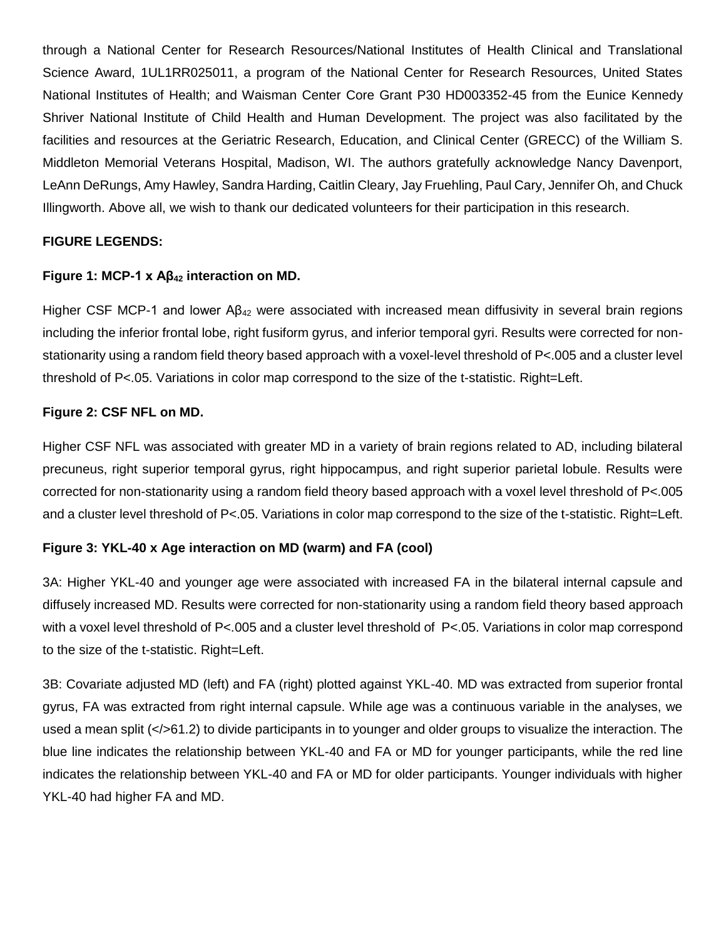through a National Center for Research Resources/National Institutes of Health Clinical and Translational Science Award, 1UL1RR025011, a program of the National Center for Research Resources, United States National Institutes of Health; and Waisman Center Core Grant P30 HD003352-45 from the Eunice Kennedy Shriver National Institute of Child Health and Human Development. The project was also facilitated by the facilities and resources at the Geriatric Research, Education, and Clinical Center (GRECC) of the William S. Middleton Memorial Veterans Hospital, Madison, WI. The authors gratefully acknowledge Nancy Davenport, LeAnn DeRungs, Amy Hawley, Sandra Harding, Caitlin Cleary, Jay Fruehling, Paul Cary, Jennifer Oh, and Chuck Illingworth. Above all, we wish to thank our dedicated volunteers for their participation in this research.

# **FIGURE LEGENDS:**

# **Figure 1: MCP-1 x Aβ<sup>42</sup> interaction on MD.**

Higher CSF MCP-1 and lower  $AB_{42}$  were associated with increased mean diffusivity in several brain regions including the inferior frontal lobe, right fusiform gyrus, and inferior temporal gyri. Results were corrected for nonstationarity using a random field theory based approach with a voxel-level threshold of P<.005 and a cluster level threshold of P<.05. Variations in color map correspond to the size of the t-statistic. Right=Left.

### **Figure 2: CSF NFL on MD.**

Higher CSF NFL was associated with greater MD in a variety of brain regions related to AD, including bilateral precuneus, right superior temporal gyrus, right hippocampus, and right superior parietal lobule. Results were corrected for non-stationarity using a random field theory based approach with a voxel level threshold of P<.005 and a cluster level threshold of P<.05. Variations in color map correspond to the size of the t-statistic. Right=Left.

### **Figure 3: YKL-40 x Age interaction on MD (warm) and FA (cool)**

3A: Higher YKL-40 and younger age were associated with increased FA in the bilateral internal capsule and diffusely increased MD. Results were corrected for non-stationarity using a random field theory based approach with a voxel level threshold of P<.005 and a cluster level threshold of P<.05. Variations in color map correspond to the size of the t-statistic. Right=Left.

3B: Covariate adjusted MD (left) and FA (right) plotted against YKL-40. MD was extracted from superior frontal gyrus, FA was extracted from right internal capsule. While age was a continuous variable in the analyses, we used a mean split (</>61.2) to divide participants in to younger and older groups to visualize the interaction. The blue line indicates the relationship between YKL-40 and FA or MD for younger participants, while the red line indicates the relationship between YKL-40 and FA or MD for older participants. Younger individuals with higher YKL-40 had higher FA and MD.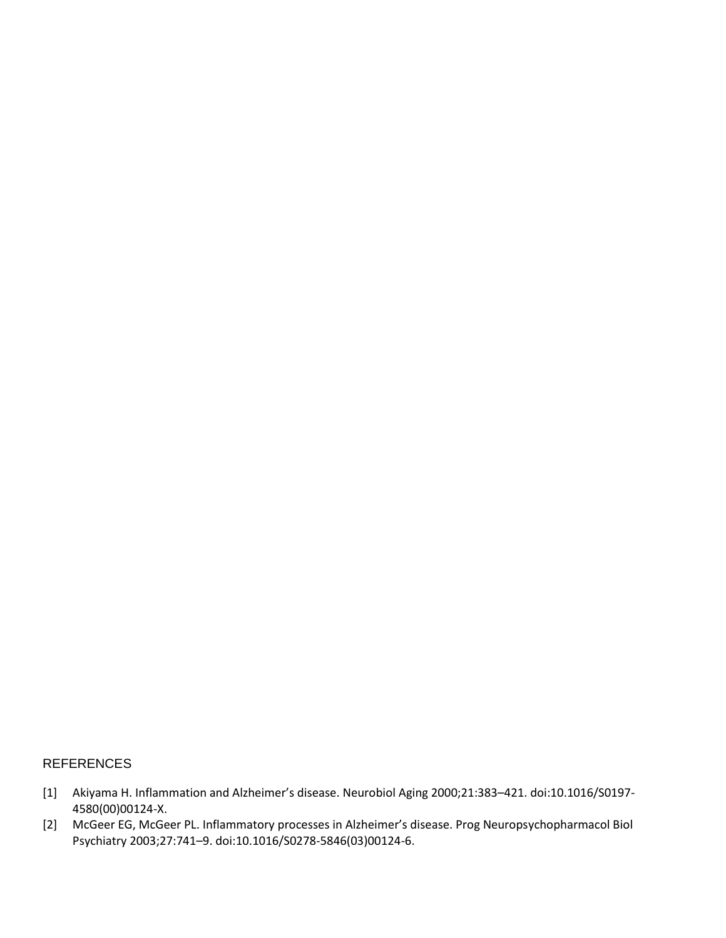### REFERENCES

- [1] Akiyama H. Inflammation and Alzheimer's disease. Neurobiol Aging 2000;21:383–421. doi:10.1016/S0197- 4580(00)00124-X.
- [2] McGeer EG, McGeer PL. Inflammatory processes in Alzheimer's disease. Prog Neuropsychopharmacol Biol Psychiatry 2003;27:741–9. doi:10.1016/S0278-5846(03)00124-6.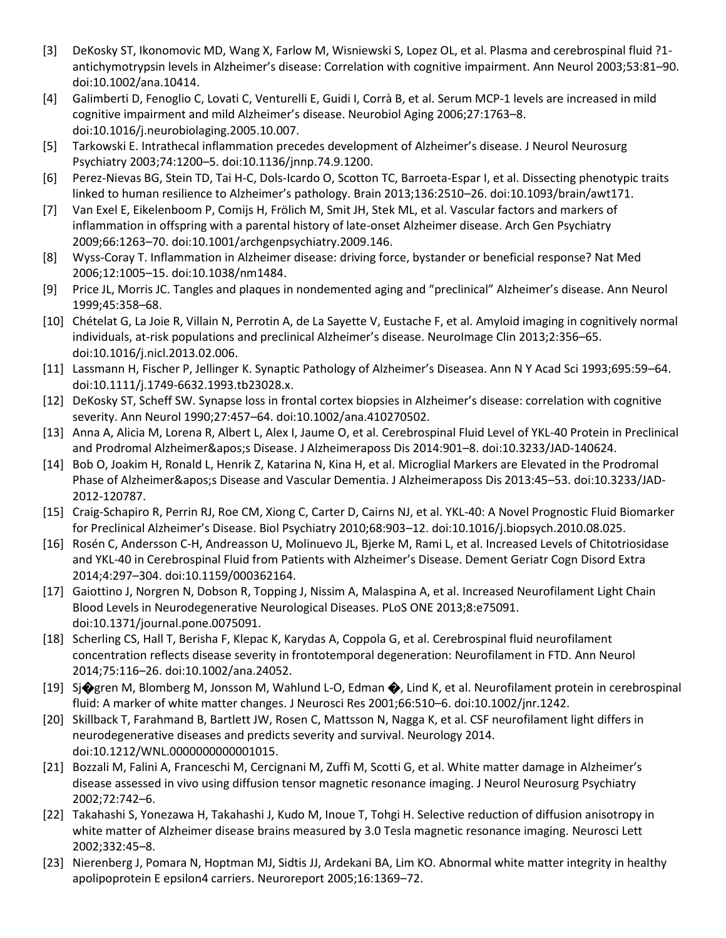- [3] DeKosky ST, Ikonomovic MD, Wang X, Farlow M, Wisniewski S, Lopez OL, et al. Plasma and cerebrospinal fluid ?1 antichymotrypsin levels in Alzheimer's disease: Correlation with cognitive impairment. Ann Neurol 2003;53:81–90. doi:10.1002/ana.10414.
- [4] Galimberti D, Fenoglio C, Lovati C, Venturelli E, Guidi I, Corrà B, et al. Serum MCP-1 levels are increased in mild cognitive impairment and mild Alzheimer's disease. Neurobiol Aging 2006;27:1763–8. doi:10.1016/j.neurobiolaging.2005.10.007.
- [5] Tarkowski E. Intrathecal inflammation precedes development of Alzheimer's disease. J Neurol Neurosurg Psychiatry 2003;74:1200–5. doi:10.1136/jnnp.74.9.1200.
- [6] Perez-Nievas BG, Stein TD, Tai H-C, Dols-Icardo O, Scotton TC, Barroeta-Espar I, et al. Dissecting phenotypic traits linked to human resilience to Alzheimer's pathology. Brain 2013;136:2510–26. doi:10.1093/brain/awt171.
- [7] Van Exel E, Eikelenboom P, Comijs H, Frölich M, Smit JH, Stek ML, et al. Vascular factors and markers of inflammation in offspring with a parental history of late-onset Alzheimer disease. Arch Gen Psychiatry 2009;66:1263–70. doi:10.1001/archgenpsychiatry.2009.146.
- [8] Wyss-Coray T. Inflammation in Alzheimer disease: driving force, bystander or beneficial response? Nat Med 2006;12:1005–15. doi:10.1038/nm1484.
- [9] Price JL, Morris JC. Tangles and plaques in nondemented aging and "preclinical" Alzheimer's disease. Ann Neurol 1999;45:358–68.
- [10] Chételat G, La Joie R, Villain N, Perrotin A, de La Sayette V, Eustache F, et al. Amyloid imaging in cognitively normal individuals, at-risk populations and preclinical Alzheimer's disease. NeuroImage Clin 2013;2:356–65. doi:10.1016/j.nicl.2013.02.006.
- [11] Lassmann H, Fischer P, Jellinger K. Synaptic Pathology of Alzheimer's Diseasea. Ann N Y Acad Sci 1993;695:59–64. doi:10.1111/j.1749-6632.1993.tb23028.x.
- [12] DeKosky ST, Scheff SW. Synapse loss in frontal cortex biopsies in Alzheimer's disease: correlation with cognitive severity. Ann Neurol 1990;27:457–64. doi:10.1002/ana.410270502.
- [13] Anna A, Alicia M, Lorena R, Albert L, Alex I, Jaume O, et al. Cerebrospinal Fluid Level of YKL-40 Protein in Preclinical and Prodromal Alzheimer's Disease. J Alzheimeraposs Dis 2014:901-8. doi:10.3233/JAD-140624.
- [14] Bob O, Joakim H, Ronald L, Henrik Z, Katarina N, Kina H, et al. Microglial Markers are Elevated in the Prodromal Phase of Alzheimer's Disease and Vascular Dementia. J Alzheimeraposs Dis 2013:45–53. doi:10.3233/JAD-2012-120787.
- [15] Craig-Schapiro R, Perrin RJ, Roe CM, Xiong C, Carter D, Cairns NJ, et al. YKL-40: A Novel Prognostic Fluid Biomarker for Preclinical Alzheimer's Disease. Biol Psychiatry 2010;68:903–12. doi:10.1016/j.biopsych.2010.08.025.
- [16] Rosén C, Andersson C-H, Andreasson U, Molinuevo JL, Bjerke M, Rami L, et al. Increased Levels of Chitotriosidase and YKL-40 in Cerebrospinal Fluid from Patients with Alzheimer's Disease. Dement Geriatr Cogn Disord Extra 2014;4:297–304. doi:10.1159/000362164.
- [17] Gaiottino J, Norgren N, Dobson R, Topping J, Nissim A, Malaspina A, et al. Increased Neurofilament Light Chain Blood Levels in Neurodegenerative Neurological Diseases. PLoS ONE 2013;8:e75091. doi:10.1371/journal.pone.0075091.
- [18] Scherling CS, Hall T, Berisha F, Klepac K, Karydas A, Coppola G, et al. Cerebrospinal fluid neurofilament concentration reflects disease severity in frontotemporal degeneration: Neurofilament in FTD. Ann Neurol 2014;75:116–26. doi:10.1002/ana.24052.
- [19] Sj�gren M, Blomberg M, Jonsson M, Wahlund L-O, Edman �, Lind K, et al. Neurofilament protein in cerebrospinal fluid: A marker of white matter changes. J Neurosci Res 2001;66:510–6. doi:10.1002/jnr.1242.
- [20] Skillback T, Farahmand B, Bartlett JW, Rosen C, Mattsson N, Nagga K, et al. CSF neurofilament light differs in neurodegenerative diseases and predicts severity and survival. Neurology 2014. doi:10.1212/WNL.0000000000001015.
- [21] Bozzali M, Falini A, Franceschi M, Cercignani M, Zuffi M, Scotti G, et al. White matter damage in Alzheimer's disease assessed in vivo using diffusion tensor magnetic resonance imaging. J Neurol Neurosurg Psychiatry 2002;72:742–6.
- [22] Takahashi S, Yonezawa H, Takahashi J, Kudo M, Inoue T, Tohgi H. Selective reduction of diffusion anisotropy in white matter of Alzheimer disease brains measured by 3.0 Tesla magnetic resonance imaging. Neurosci Lett 2002;332:45–8.
- [23] Nierenberg J, Pomara N, Hoptman MJ, Sidtis JJ, Ardekani BA, Lim KO. Abnormal white matter integrity in healthy apolipoprotein E epsilon4 carriers. Neuroreport 2005;16:1369–72.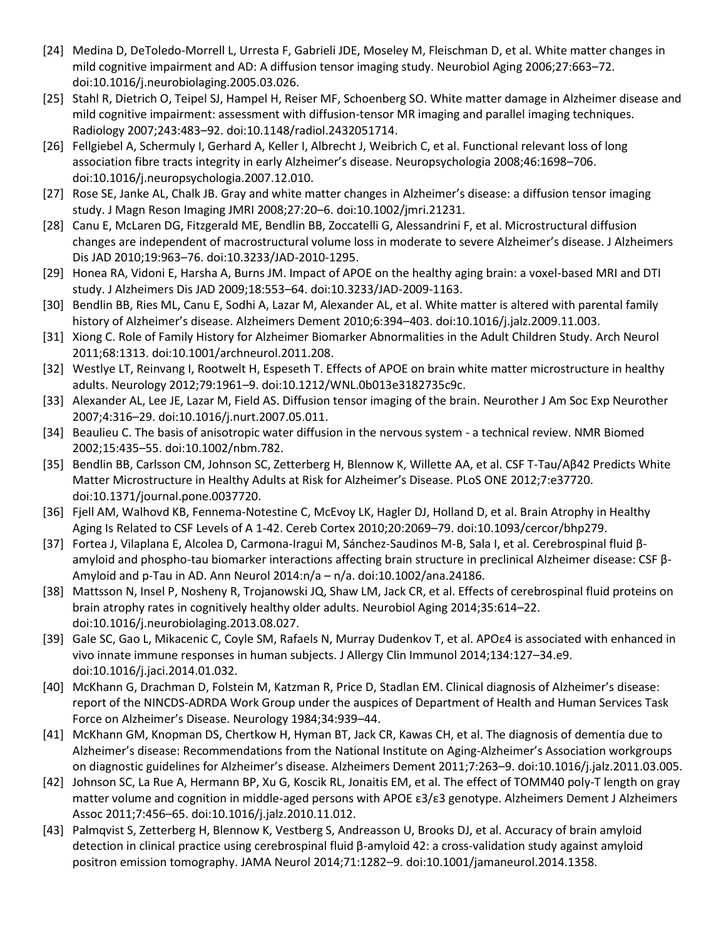- [24] Medina D, DeToledo-Morrell L, Urresta F, Gabrieli JDE, Moseley M, Fleischman D, et al. White matter changes in mild cognitive impairment and AD: A diffusion tensor imaging study. Neurobiol Aging 2006;27:663–72. doi:10.1016/j.neurobiolaging.2005.03.026.
- [25] Stahl R, Dietrich O, Teipel SJ, Hampel H, Reiser MF, Schoenberg SO. White matter damage in Alzheimer disease and mild cognitive impairment: assessment with diffusion-tensor MR imaging and parallel imaging techniques. Radiology 2007;243:483–92. doi:10.1148/radiol.2432051714.
- [26] Fellgiebel A, Schermuly I, Gerhard A, Keller I, Albrecht J, Weibrich C, et al. Functional relevant loss of long association fibre tracts integrity in early Alzheimer's disease. Neuropsychologia 2008;46:1698–706. doi:10.1016/j.neuropsychologia.2007.12.010.
- [27] Rose SE, Janke AL, Chalk JB. Gray and white matter changes in Alzheimer's disease: a diffusion tensor imaging study. J Magn Reson Imaging JMRI 2008;27:20–6. doi:10.1002/jmri.21231.
- [28] Canu E, McLaren DG, Fitzgerald ME, Bendlin BB, Zoccatelli G, Alessandrini F, et al. Microstructural diffusion changes are independent of macrostructural volume loss in moderate to severe Alzheimer's disease. J Alzheimers Dis JAD 2010;19:963–76. doi:10.3233/JAD-2010-1295.
- [29] Honea RA, Vidoni E, Harsha A, Burns JM. Impact of APOE on the healthy aging brain: a voxel-based MRI and DTI study. J Alzheimers Dis JAD 2009;18:553–64. doi:10.3233/JAD-2009-1163.
- [30] Bendlin BB, Ries ML, Canu E, Sodhi A, Lazar M, Alexander AL, et al. White matter is altered with parental family history of Alzheimer's disease. Alzheimers Dement 2010;6:394–403. doi:10.1016/j.jalz.2009.11.003.
- [31] Xiong C. Role of Family History for Alzheimer Biomarker Abnormalities in the Adult Children Study. Arch Neurol 2011;68:1313. doi:10.1001/archneurol.2011.208.
- [32] Westlye LT, Reinvang I, Rootwelt H, Espeseth T. Effects of APOE on brain white matter microstructure in healthy adults. Neurology 2012;79:1961–9. doi:10.1212/WNL.0b013e3182735c9c.
- [33] Alexander AL, Lee JE, Lazar M, Field AS. Diffusion tensor imaging of the brain. Neurother J Am Soc Exp Neurother 2007;4:316–29. doi:10.1016/j.nurt.2007.05.011.
- [34] Beaulieu C. The basis of anisotropic water diffusion in the nervous system a technical review. NMR Biomed 2002;15:435–55. doi:10.1002/nbm.782.
- [35] Bendlin BB, Carlsson CM, Johnson SC, Zetterberg H, Blennow K, Willette AA, et al. CSF T-Tau/Aβ42 Predicts White Matter Microstructure in Healthy Adults at Risk for Alzheimer's Disease. PLoS ONE 2012;7:e37720. doi:10.1371/journal.pone.0037720.
- [36] Fjell AM, Walhovd KB, Fennema-Notestine C, McEvoy LK, Hagler DJ, Holland D, et al. Brain Atrophy in Healthy Aging Is Related to CSF Levels of A 1-42. Cereb Cortex 2010;20:2069–79. doi:10.1093/cercor/bhp279.
- [37] Fortea J, Vilaplana E, Alcolea D, Carmona-Iragui M, Sánchez-Saudinos M-B, Sala I, et al. Cerebrospinal fluid βamyloid and phospho-tau biomarker interactions affecting brain structure in preclinical Alzheimer disease: CSF β-Amyloid and p-Tau in AD. Ann Neurol 2014:n/a – n/a. doi:10.1002/ana.24186.
- [38] Mattsson N, Insel P, Nosheny R, Trojanowski JQ, Shaw LM, Jack CR, et al. Effects of cerebrospinal fluid proteins on brain atrophy rates in cognitively healthy older adults. Neurobiol Aging 2014;35:614–22. doi:10.1016/j.neurobiolaging.2013.08.027.
- [39] Gale SC, Gao L, Mikacenic C, Coyle SM, Rafaels N, Murray Dudenkov T, et al. APOε4 is associated with enhanced in vivo innate immune responses in human subjects. J Allergy Clin Immunol 2014;134:127–34.e9. doi:10.1016/j.jaci.2014.01.032.
- [40] McKhann G, Drachman D, Folstein M, Katzman R, Price D, Stadlan EM. Clinical diagnosis of Alzheimer's disease: report of the NINCDS-ADRDA Work Group under the auspices of Department of Health and Human Services Task Force on Alzheimer's Disease. Neurology 1984;34:939–44.
- [41] McKhann GM, Knopman DS, Chertkow H, Hyman BT, Jack CR, Kawas CH, et al. The diagnosis of dementia due to Alzheimer's disease: Recommendations from the National Institute on Aging-Alzheimer's Association workgroups on diagnostic guidelines for Alzheimer's disease. Alzheimers Dement 2011;7:263–9. doi:10.1016/j.jalz.2011.03.005.
- [42] Johnson SC, La Rue A, Hermann BP, Xu G, Koscik RL, Jonaitis EM, et al. The effect of TOMM40 poly-T length on gray matter volume and cognition in middle-aged persons with APOE ε3/ε3 genotype. Alzheimers Dement J Alzheimers Assoc 2011;7:456–65. doi:10.1016/j.jalz.2010.11.012.
- [43] Palmqvist S, Zetterberg H, Blennow K, Vestberg S, Andreasson U, Brooks DJ, et al. Accuracy of brain amyloid detection in clinical practice using cerebrospinal fluid β-amyloid 42: a cross-validation study against amyloid positron emission tomography. JAMA Neurol 2014;71:1282–9. doi:10.1001/jamaneurol.2014.1358.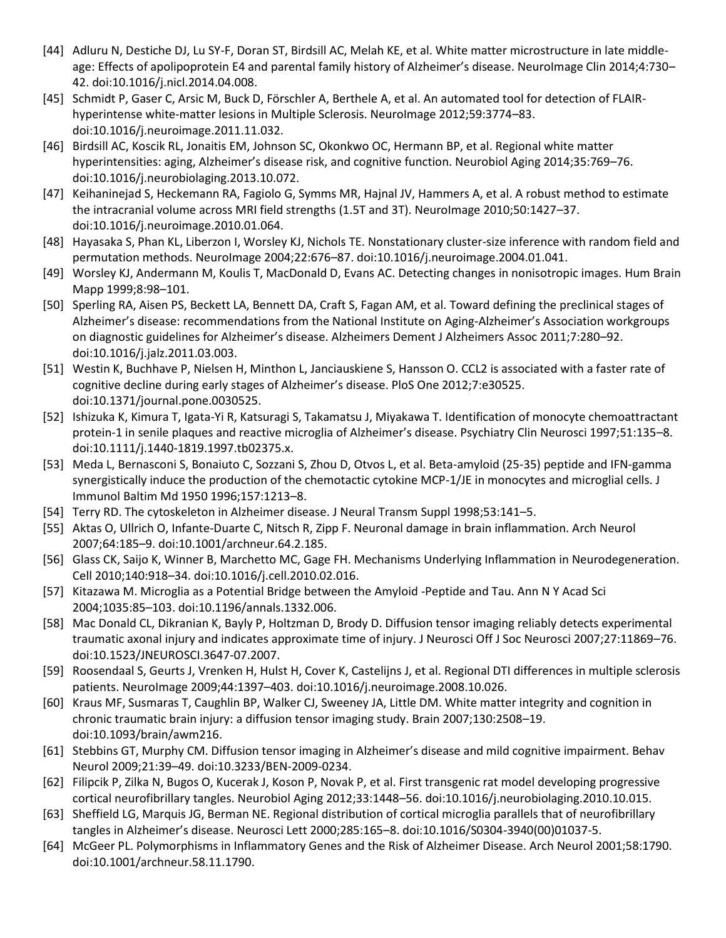- [44] Adluru N, Destiche DJ, Lu SY-F, Doran ST, Birdsill AC, Melah KE, et al. White matter microstructure in late middleage: Effects of apolipoprotein E4 and parental family history of Alzheimer's disease. NeuroImage Clin 2014;4:730– 42. doi:10.1016/j.nicl.2014.04.008.
- [45] Schmidt P, Gaser C, Arsic M, Buck D, Förschler A, Berthele A, et al. An automated tool for detection of FLAIRhyperintense white-matter lesions in Multiple Sclerosis. NeuroImage 2012;59:3774–83. doi:10.1016/j.neuroimage.2011.11.032.
- [46] Birdsill AC, Koscik RL, Jonaitis EM, Johnson SC, Okonkwo OC, Hermann BP, et al. Regional white matter hyperintensities: aging, Alzheimer's disease risk, and cognitive function. Neurobiol Aging 2014;35:769–76. doi:10.1016/j.neurobiolaging.2013.10.072.
- [47] Keihaninejad S, Heckemann RA, Fagiolo G, Symms MR, Hajnal JV, Hammers A, et al. A robust method to estimate the intracranial volume across MRI field strengths (1.5T and 3T). NeuroImage 2010;50:1427-37. doi:10.1016/j.neuroimage.2010.01.064.
- [48] Hayasaka S, Phan KL, Liberzon I, Worsley KJ, Nichols TE. Nonstationary cluster-size inference with random field and permutation methods. NeuroImage 2004;22:676–87. doi:10.1016/j.neuroimage.2004.01.041.
- [49] Worsley KJ, Andermann M, Koulis T, MacDonald D, Evans AC. Detecting changes in nonisotropic images. Hum Brain Mapp 1999;8:98–101.
- [50] Sperling RA, Aisen PS, Beckett LA, Bennett DA, Craft S, Fagan AM, et al. Toward defining the preclinical stages of Alzheimer's disease: recommendations from the National Institute on Aging-Alzheimer's Association workgroups on diagnostic guidelines for Alzheimer's disease. Alzheimers Dement J Alzheimers Assoc 2011;7:280–92. doi:10.1016/j.jalz.2011.03.003.
- [51] Westin K, Buchhave P, Nielsen H, Minthon L, Janciauskiene S, Hansson O. CCL2 is associated with a faster rate of cognitive decline during early stages of Alzheimer's disease. PloS One 2012;7:e30525. doi:10.1371/journal.pone.0030525.
- [52] Ishizuka K, Kimura T, Igata-Yi R, Katsuragi S, Takamatsu J, Miyakawa T. Identification of monocyte chemoattractant protein-1 in senile plaques and reactive microglia of Alzheimer's disease. Psychiatry Clin Neurosci 1997;51:135–8. doi:10.1111/j.1440-1819.1997.tb02375.x.
- [53] Meda L, Bernasconi S, Bonaiuto C, Sozzani S, Zhou D, Otvos L, et al. Beta-amyloid (25-35) peptide and IFN-gamma synergistically induce the production of the chemotactic cytokine MCP-1/JE in monocytes and microglial cells. J Immunol Baltim Md 1950 1996;157:1213–8.
- [54] Terry RD. The cytoskeleton in Alzheimer disease. J Neural Transm Suppl 1998;53:141–5.
- [55] Aktas O, Ullrich O, Infante-Duarte C, Nitsch R, Zipp F. Neuronal damage in brain inflammation. Arch Neurol 2007;64:185–9. doi:10.1001/archneur.64.2.185.
- [56] Glass CK, Saijo K, Winner B, Marchetto MC, Gage FH. Mechanisms Underlying Inflammation in Neurodegeneration. Cell 2010;140:918–34. doi:10.1016/j.cell.2010.02.016.
- [57] Kitazawa M. Microglia as a Potential Bridge between the Amyloid -Peptide and Tau. Ann N Y Acad Sci 2004;1035:85–103. doi:10.1196/annals.1332.006.
- [58] Mac Donald CL, Dikranian K, Bayly P, Holtzman D, Brody D. Diffusion tensor imaging reliably detects experimental traumatic axonal injury and indicates approximate time of injury. J Neurosci Off J Soc Neurosci 2007;27:11869–76. doi:10.1523/JNEUROSCI.3647-07.2007.
- [59] Roosendaal S, Geurts J, Vrenken H, Hulst H, Cover K, Castelijns J, et al. Regional DTI differences in multiple sclerosis patients. NeuroImage 2009;44:1397–403. doi:10.1016/j.neuroimage.2008.10.026.
- [60] Kraus MF, Susmaras T, Caughlin BP, Walker CJ, Sweeney JA, Little DM. White matter integrity and cognition in chronic traumatic brain injury: a diffusion tensor imaging study. Brain 2007;130:2508–19. doi:10.1093/brain/awm216.
- [61] Stebbins GT, Murphy CM. Diffusion tensor imaging in Alzheimer's disease and mild cognitive impairment. Behav Neurol 2009;21:39–49. doi:10.3233/BEN-2009-0234.
- [62] Filipcik P, Zilka N, Bugos O, Kucerak J, Koson P, Novak P, et al. First transgenic rat model developing progressive cortical neurofibrillary tangles. Neurobiol Aging 2012;33:1448–56. doi:10.1016/j.neurobiolaging.2010.10.015.
- [63] Sheffield LG, Marquis JG, Berman NE. Regional distribution of cortical microglia parallels that of neurofibrillary tangles in Alzheimer's disease. Neurosci Lett 2000;285:165–8. doi:10.1016/S0304-3940(00)01037-5.
- [64] McGeer PL. Polymorphisms in Inflammatory Genes and the Risk of Alzheimer Disease. Arch Neurol 2001;58:1790. doi:10.1001/archneur.58.11.1790.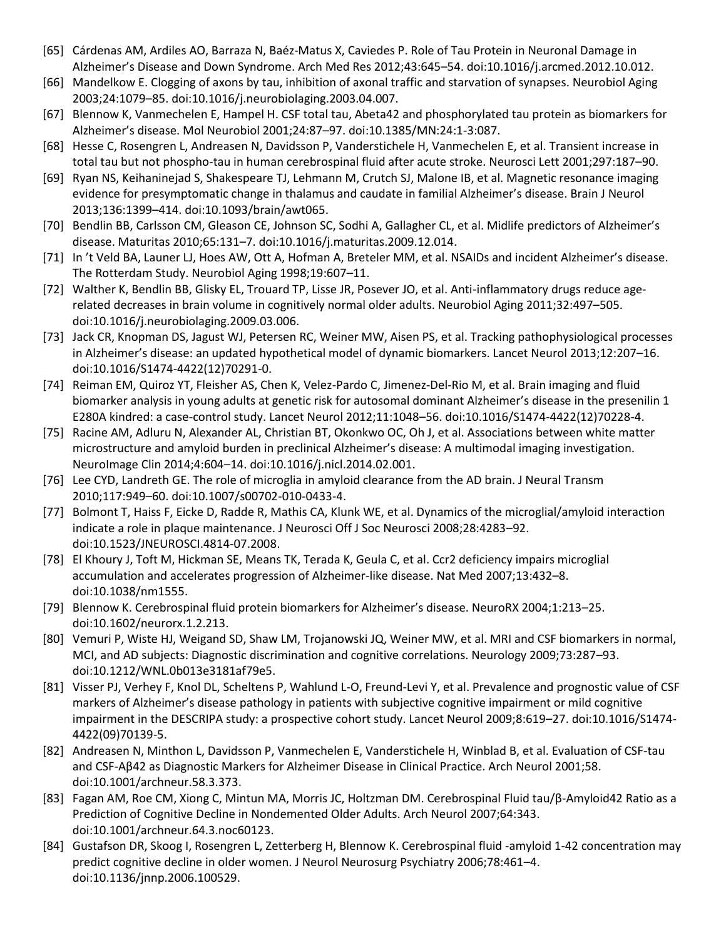- [65] Cárdenas AM, Ardiles AO, Barraza N, Baéz-Matus X, Caviedes P. Role of Tau Protein in Neuronal Damage in Alzheimer's Disease and Down Syndrome. Arch Med Res 2012;43:645–54. doi:10.1016/j.arcmed.2012.10.012.
- [66] Mandelkow E. Clogging of axons by tau, inhibition of axonal traffic and starvation of synapses. Neurobiol Aging 2003;24:1079–85. doi:10.1016/j.neurobiolaging.2003.04.007.
- [67] Blennow K, Vanmechelen E, Hampel H. CSF total tau, Abeta42 and phosphorylated tau protein as biomarkers for Alzheimer's disease. Mol Neurobiol 2001;24:87–97. doi:10.1385/MN:24:1-3:087.
- [68] Hesse C, Rosengren L, Andreasen N, Davidsson P, Vanderstichele H, Vanmechelen E, et al. Transient increase in total tau but not phospho-tau in human cerebrospinal fluid after acute stroke. Neurosci Lett 2001;297:187–90.
- [69] Ryan NS, Keihaninejad S, Shakespeare TJ, Lehmann M, Crutch SJ, Malone IB, et al. Magnetic resonance imaging evidence for presymptomatic change in thalamus and caudate in familial Alzheimer's disease. Brain J Neurol 2013;136:1399–414. doi:10.1093/brain/awt065.
- [70] Bendlin BB, Carlsson CM, Gleason CE, Johnson SC, Sodhi A, Gallagher CL, et al. Midlife predictors of Alzheimer's disease. Maturitas 2010;65:131–7. doi:10.1016/j.maturitas.2009.12.014.
- [71] In 't Veld BA, Launer LJ, Hoes AW, Ott A, Hofman A, Breteler MM, et al. NSAIDs and incident Alzheimer's disease. The Rotterdam Study. Neurobiol Aging 1998;19:607–11.
- [72] Walther K, Bendlin BB, Glisky EL, Trouard TP, Lisse JR, Posever JO, et al. Anti-inflammatory drugs reduce agerelated decreases in brain volume in cognitively normal older adults. Neurobiol Aging 2011;32:497–505. doi:10.1016/j.neurobiolaging.2009.03.006.
- [73] Jack CR, Knopman DS, Jagust WJ, Petersen RC, Weiner MW, Aisen PS, et al. Tracking pathophysiological processes in Alzheimer's disease: an updated hypothetical model of dynamic biomarkers. Lancet Neurol 2013;12:207–16. doi:10.1016/S1474-4422(12)70291-0.
- [74] Reiman EM, Quiroz YT, Fleisher AS, Chen K, Velez-Pardo C, Jimenez-Del-Rio M, et al. Brain imaging and fluid biomarker analysis in young adults at genetic risk for autosomal dominant Alzheimer's disease in the presenilin 1 E280A kindred: a case-control study. Lancet Neurol 2012;11:1048–56. doi:10.1016/S1474-4422(12)70228-4.
- [75] Racine AM, Adluru N, Alexander AL, Christian BT, Okonkwo OC, Oh J, et al. Associations between white matter microstructure and amyloid burden in preclinical Alzheimer's disease: A multimodal imaging investigation. NeuroImage Clin 2014;4:604–14. doi:10.1016/j.nicl.2014.02.001.
- [76] Lee CYD, Landreth GE. The role of microglia in amyloid clearance from the AD brain. J Neural Transm 2010;117:949–60. doi:10.1007/s00702-010-0433-4.
- [77] Bolmont T, Haiss F, Eicke D, Radde R, Mathis CA, Klunk WE, et al. Dynamics of the microglial/amyloid interaction indicate a role in plaque maintenance. J Neurosci Off J Soc Neurosci 2008;28:4283–92. doi:10.1523/JNEUROSCI.4814-07.2008.
- [78] El Khoury J, Toft M, Hickman SE, Means TK, Terada K, Geula C, et al. Ccr2 deficiency impairs microglial accumulation and accelerates progression of Alzheimer-like disease. Nat Med 2007;13:432–8. doi:10.1038/nm1555.
- [79] Blennow K. Cerebrospinal fluid protein biomarkers for Alzheimer's disease. NeuroRX 2004;1:213–25. doi:10.1602/neurorx.1.2.213.
- [80] Vemuri P, Wiste HJ, Weigand SD, Shaw LM, Trojanowski JQ, Weiner MW, et al. MRI and CSF biomarkers in normal, MCI, and AD subjects: Diagnostic discrimination and cognitive correlations. Neurology 2009;73:287–93. doi:10.1212/WNL.0b013e3181af79e5.
- [81] Visser PJ, Verhey F, Knol DL, Scheltens P, Wahlund L-O, Freund-Levi Y, et al. Prevalence and prognostic value of CSF markers of Alzheimer's disease pathology in patients with subjective cognitive impairment or mild cognitive impairment in the DESCRIPA study: a prospective cohort study. Lancet Neurol 2009;8:619–27. doi:10.1016/S1474- 4422(09)70139-5.
- [82] Andreasen N, Minthon L, Davidsson P, Vanmechelen E, Vanderstichele H, Winblad B, et al. Evaluation of CSF-tau and CSF-Aβ42 as Diagnostic Markers for Alzheimer Disease in Clinical Practice. Arch Neurol 2001;58. doi:10.1001/archneur.58.3.373.
- [83] Fagan AM, Roe CM, Xiong C, Mintun MA, Morris JC, Holtzman DM. Cerebrospinal Fluid tau/β-Amyloid42 Ratio as a Prediction of Cognitive Decline in Nondemented Older Adults. Arch Neurol 2007;64:343. doi:10.1001/archneur.64.3.noc60123.
- [84] Gustafson DR, Skoog I, Rosengren L, Zetterberg H, Blennow K. Cerebrospinal fluid -amyloid 1-42 concentration may predict cognitive decline in older women. J Neurol Neurosurg Psychiatry 2006;78:461–4. doi:10.1136/jnnp.2006.100529.